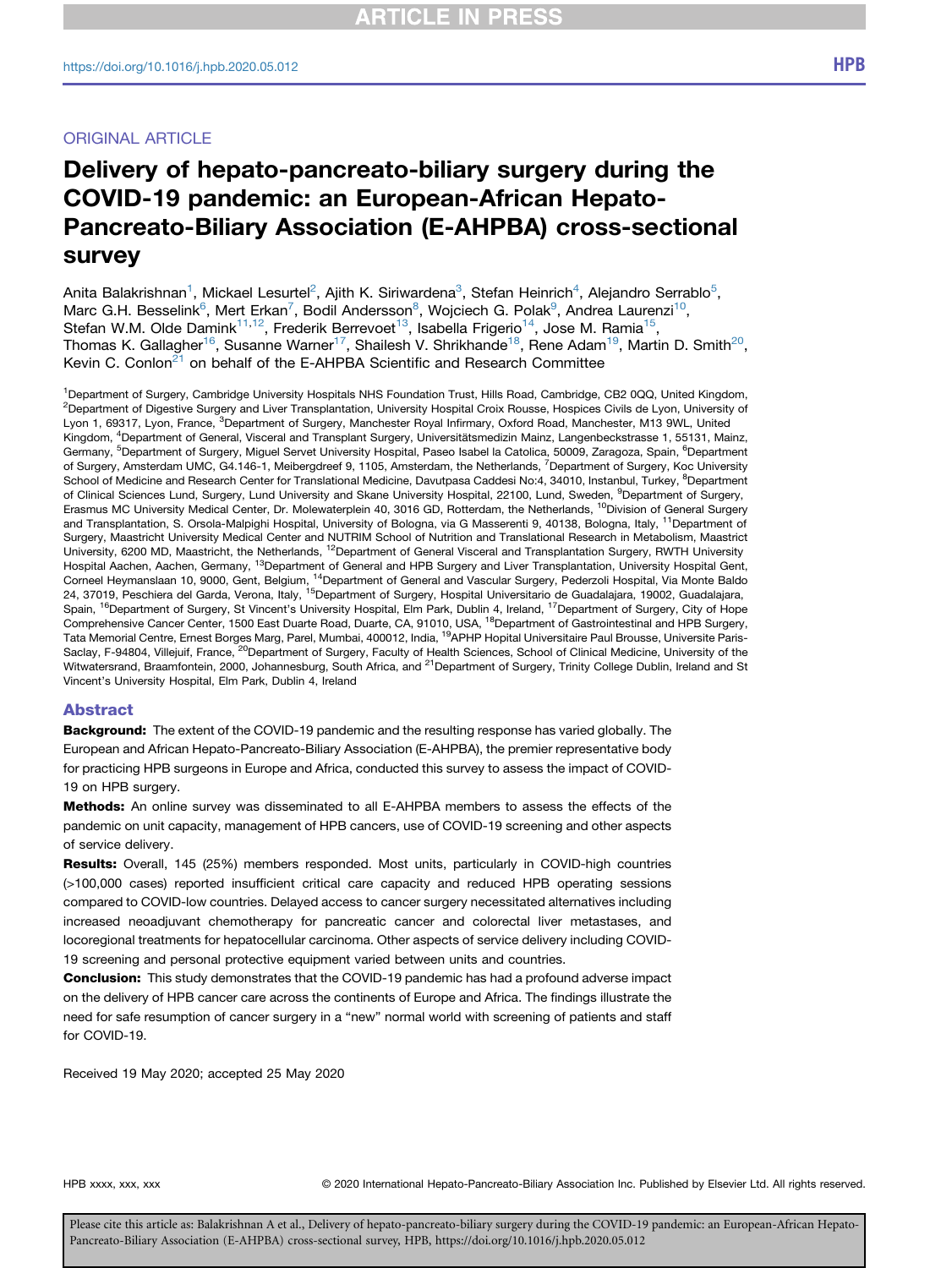## ORIGINAL ARTICLE

# Delivery of hepato-pancreato-biliary surgery during the COVID-19 pandemic: an European-African Hepato-Pancreato-Biliary Association (E-AHPBA) cross-sectional survey

Anita Balakrishnan<sup>[1](#page-0-0)</sup>, Mickael Lesurtel<sup>[2](#page-0-0)</sup>, Ajith K. Siriwardena<sup>[3](#page-0-1)</sup>, Stefan Heinrich<sup>[4](#page-0-2)</sup>, Alejandro Serrablo<sup>[5](#page-0-3)</sup>, Marc G.H. Besselink<sup>[6](#page-0-3)</sup>, Mert Erkan<sup>7</sup>, Bodil Andersson<sup>[8](#page-0-5)</sup>, Wojciech G. Polak<sup>[9](#page-0-6)</sup>, Andrea Laurenzi<sup>[10](#page-0-7)</sup>, Stefan W.M. Olde Damink<sup>[11,](#page-0-8)[12](#page-0-9)</sup>, Frederik Berrevoet<sup>13</sup>, Isabella Frigerio<sup>[14](#page-0-11)</sup>, Jose M. Ramia<sup>[15](#page-0-12)</sup>, Thomas K. Gallagher<sup>16</sup>, Susanne Warner<sup>17</sup>, Shailesh V. Shrikhande<sup>[18](#page-0-14)</sup>, Rene Adam<sup>[19](#page-0-15)</sup>, Martin D. Smith<sup>20</sup>, Kevin C. Conlon<sup>[21](#page-0-17)</sup> on behalf of the E-AHPBA Scientific and Research Committee

<span id="page-0-9"></span><span id="page-0-8"></span><span id="page-0-7"></span><span id="page-0-6"></span><span id="page-0-5"></span><span id="page-0-4"></span><span id="page-0-3"></span><span id="page-0-2"></span><span id="page-0-1"></span><span id="page-0-0"></span>1 Department of Surgery, Cambridge University Hospitals NHS Foundation Trust, Hills Road, Cambridge, CB2 0QQ, United Kingdom, <sup>2</sup>Department of Digestive Surgery and Liver Transplantation, University Hospital Croix Rousse, Hospices Civils de Lyon, University of Lyon 1, 69317, Lyon, France, <sup>3</sup>Department of Surgery, Manchester Royal Infirmary, Oxford Road, Manchester, M13 9WL, United Kingdom, <sup>4</sup>Department of General, Visceral and Transplant Surgery, Universitätsmedizin Mainz, Langenbeckstrasse 1, 55131, Mainz, Germany, <sup>5</sup>Department of Surgery, Miguel Servet University Hospital, Paseo Isabel la Catolica, 50009, Zaragoza, Spain, <sup>6</sup>Department of Surgery, Amsterdam UMC, G4.146-1, Meibergdreef 9, 1105, Amsterdam, the Netherlands, <sup>7</sup>Department of Surgery, Koc University School of Medicine and Research Center for Translational Medicine, Davutpasa Caddesi No:4, 34010, Instanbul, Turkey, <sup>8</sup>Department of Clinical Sciences Lund, Surgery, Lund University and Skane University Hospital, 22100, Lund, Sweden, <sup>9</sup>Department of Surgery, Erasmus MC University Medical Center, Dr. Molewaterplein 40, 3016 GD, Rotterdam, the Netherlands, <sup>10</sup>Division of General Surgery and Transplantation, S. Orsola-Malpighi Hospital, University of Bologna, via G Masserenti 9, 40138, Bologna, Italy, <sup>11</sup>Department of Surgery, Maastricht University Medical Center and NUTRIM School of Nutrition and Translational Research in Metabolism, Maastrict University, 6200 MD, Maastricht, the Netherlands, <sup>12</sup>Department of General Visceral and Transplantation Surgery, RWTH University Hospital Aachen, Aachen, Germany, <sup>13</sup>Department of General and HPB Surgery and Liver Transplantation, University Hospital Gent, Corneel Heymanslaan 10, 9000, Gent, Belgium, 14Department of General and Vascular Surgery, Pederzoli Hospital, Via Monte Baldo 24, 37019, Peschiera del Garda, Verona, Italy, <sup>15</sup>Department of Surgery, Hospital Universitario de Guadalajara, 19002, Guadalajara, Spain, <sup>16</sup>Department of Surgery, St Vincent's University Hospital, Elm Park, Dublin 4, Ireland, <sup>17</sup>Department of Surgery, City of Hope Comprehensive Cancer Center, 1500 East Duarte Road, Duarte, CA, 91010, USA, 18Department of Gastrointestinal and HPB Surgery, Tata Memorial Centre, Ernest Borges Marg, Parel, Mumbai, 400012, India, <sup>19</sup>APHP Hopital Universitaire Paul Brousse, Universite Paris-Saclay, F-94804, Villejuif, France, <sup>20</sup>Department of Surgery, Faculty of Health Sciences, School of Clinical Medicine, University of the Witwatersrand, Braamfontein, 2000, Johannesburg, South Africa, and <sup>21</sup>Department of Surgery, Trinity College Dublin, Ireland and St Vincent's University Hospital, Elm Park, Dublin 4, Ireland

#### <span id="page-0-17"></span><span id="page-0-16"></span><span id="page-0-15"></span><span id="page-0-14"></span><span id="page-0-13"></span><span id="page-0-12"></span><span id="page-0-11"></span><span id="page-0-10"></span>Abstract

**Background:** The extent of the COVID-19 pandemic and the resulting response has varied globally. The European and African Hepato-Pancreato-Biliary Association (E-AHPBA), the premier representative body for practicing HPB surgeons in Europe and Africa, conducted this survey to assess the impact of COVID-19 on HPB surgery.

Methods: An online survey was disseminated to all E-AHPBA members to assess the effects of the pandemic on unit capacity, management of HPB cancers, use of COVID-19 screening and other aspects of service delivery.

Results: Overall, 145 (25%) members responded. Most units, particularly in COVID-high countries (>100,000 cases) reported insufficient critical care capacity and reduced HPB operating sessions compared to COVID-low countries. Delayed access to cancer surgery necessitated alternatives including increased neoadjuvant chemotherapy for pancreatic cancer and colorectal liver metastases, and locoregional treatments for hepatocellular carcinoma. Other aspects of service delivery including COVID-19 screening and personal protective equipment varied between units and countries.

**Conclusion:** This study demonstrates that the COVID-19 pandemic has had a profound adverse impact on the delivery of HPB cancer care across the continents of Europe and Africa. The findings illustrate the need for safe resumption of cancer surgery in a "new" normal world with screening of patients and staff for COVID-19.

Received 19 May 2020; accepted 25 May 2020

HPB xxxx, xxx, xxx entity of the CO2020 International Hepato-Pancreato-Biliary Association Inc. Published by Elsevier Ltd. All rights reserved.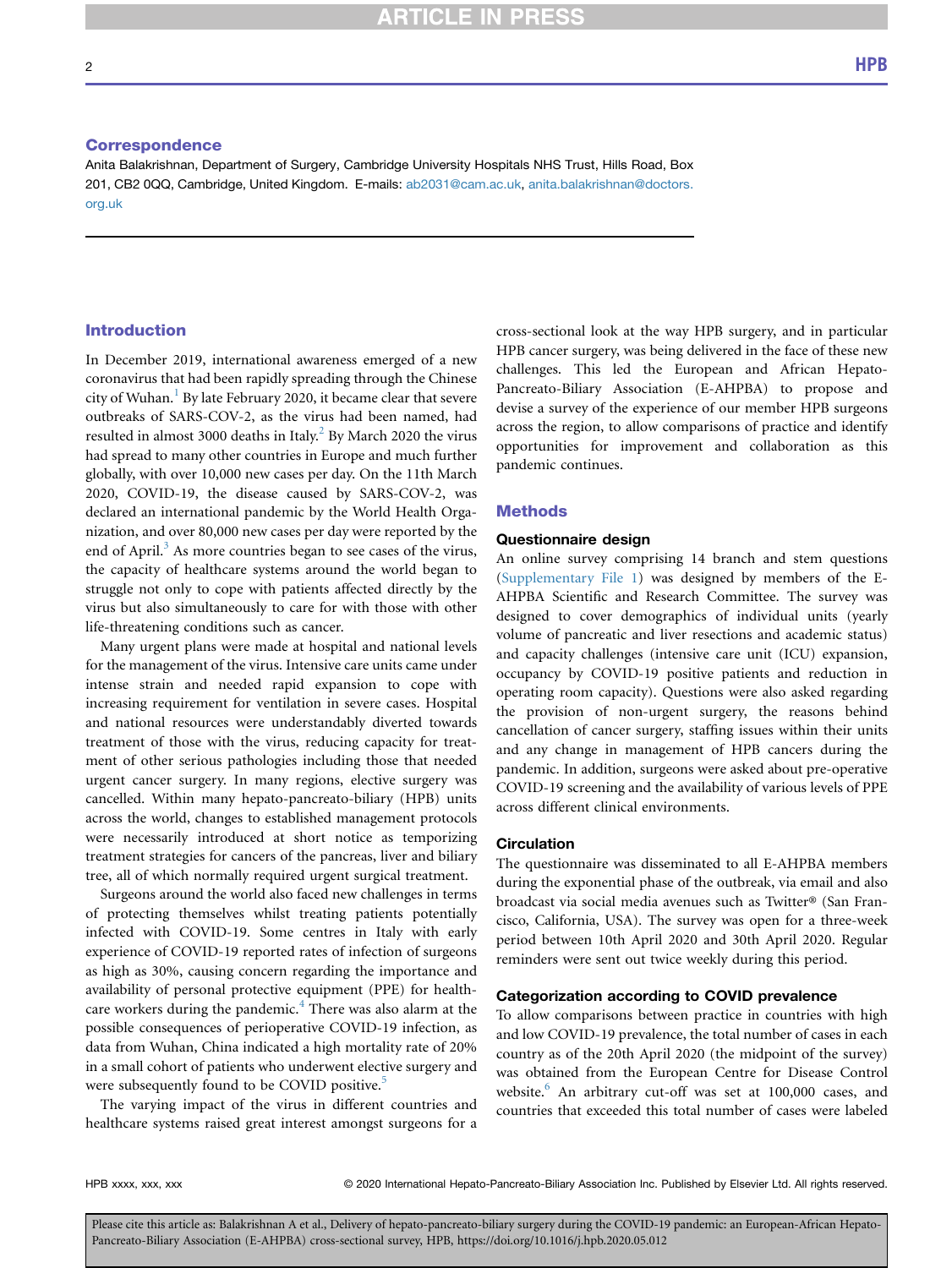**ARTICLE IN PRESS** 

#### **Correspondence**

Anita Balakrishnan, Department of Surgery, Cambridge University Hospitals NHS Trust, Hills Road, Box 201, CB2 0QQ, Cambridge, United Kingdom. E-mails: [ab2031@cam.ac.uk](mailto:ab2031@cam.ac.uk), [anita.balakrishnan@doctors.](mailto:anita.balakrishnan@doctors.org.uk) [org.uk](mailto:anita.balakrishnan@doctors.org.uk)

## Introduction

In December 2019, international awareness emerged of a new coronavirus that had been rapidly spreading through the Chinese city of Wuhan.<sup>[1](#page-6-0)</sup> By late February 2020, it became clear that severe outbreaks of SARS-COV-2, as the virus had been named, had resulted in almost 3000 deaths in Italy.<sup>[2](#page-6-1)</sup> By March 2020 the virus had spread to many other countries in Europe and much further globally, with over 10,000 new cases per day. On the 11th March 2020, COVID-19, the disease caused by SARS-COV-2, was declared an international pandemic by the World Health Organization, and over 80,000 new cases per day were reported by the end of April.<sup>[3](#page-6-2)</sup> As more countries began to see cases of the virus, the capacity of healthcare systems around the world began to struggle not only to cope with patients affected directly by the virus but also simultaneously to care for with those with other life-threatening conditions such as cancer.

Many urgent plans were made at hospital and national levels for the management of the virus. Intensive care units came under intense strain and needed rapid expansion to cope with increasing requirement for ventilation in severe cases. Hospital and national resources were understandably diverted towards treatment of those with the virus, reducing capacity for treatment of other serious pathologies including those that needed urgent cancer surgery. In many regions, elective surgery was cancelled. Within many hepato-pancreato-biliary (HPB) units across the world, changes to established management protocols were necessarily introduced at short notice as temporizing treatment strategies for cancers of the pancreas, liver and biliary tree, all of which normally required urgent surgical treatment.

Surgeons around the world also faced new challenges in terms of protecting themselves whilst treating patients potentially infected with COVID-19. Some centres in Italy with early experience of COVID-19 reported rates of infection of surgeons as high as 30%, causing concern regarding the importance and availability of personal protective equipment (PPE) for health-care workers during the pandemic.<sup>[4](#page-6-3)</sup> There was also alarm at the possible consequences of perioperative COVID-19 infection, as data from Wuhan, China indicated a high mortality rate of 20% in a small cohort of patients who underwent elective surgery and were subsequently found to be COVID positive.<sup>[5](#page-6-4)</sup>

The varying impact of the virus in different countries and healthcare systems raised great interest amongst surgeons for a cross-sectional look at the way HPB surgery, and in particular HPB cancer surgery, was being delivered in the face of these new challenges. This led the European and African Hepato-Pancreato-Biliary Association (E-AHPBA) to propose and devise a survey of the experience of our member HPB surgeons across the region, to allow comparisons of practice and identify opportunities for improvement and collaboration as this pandemic continues.

#### Methods

#### Questionnaire design

An online survey comprising 14 branch and stem questions (Supplementary File 1) was designed by members of the E-AHPBA Scientific and Research Committee. The survey was designed to cover demographics of individual units (yearly volume of pancreatic and liver resections and academic status) and capacity challenges (intensive care unit (ICU) expansion, occupancy by COVID-19 positive patients and reduction in operating room capacity). Questions were also asked regarding the provision of non-urgent surgery, the reasons behind cancellation of cancer surgery, staffing issues within their units and any change in management of HPB cancers during the pandemic. In addition, surgeons were asked about pre-operative COVID-19 screening and the availability of various levels of PPE across different clinical environments.

### **Circulation**

The questionnaire was disseminated to all E-AHPBA members during the exponential phase of the outbreak, via email and also broadcast via social media avenues such as Twitter® (San Francisco, California, USA). The survey was open for a three-week period between 10th April 2020 and 30th April 2020. Regular reminders were sent out twice weekly during this period.

#### Categorization according to COVID prevalence

To allow comparisons between practice in countries with high and low COVID-19 prevalence, the total number of cases in each country as of the 20th April 2020 (the midpoint of the survey) was obtained from the European Centre for Disease Control website.<sup>[6](#page-6-5)</sup> An arbitrary cut-off was set at 100,000 cases, and countries that exceeded this total number of cases were labeled

HPB xxxx, xxx, xxx 
reserved. © 2020 International Hepato-Pancreato-Biliary Association Inc. Published by Elsevier Ltd. All rights reserved.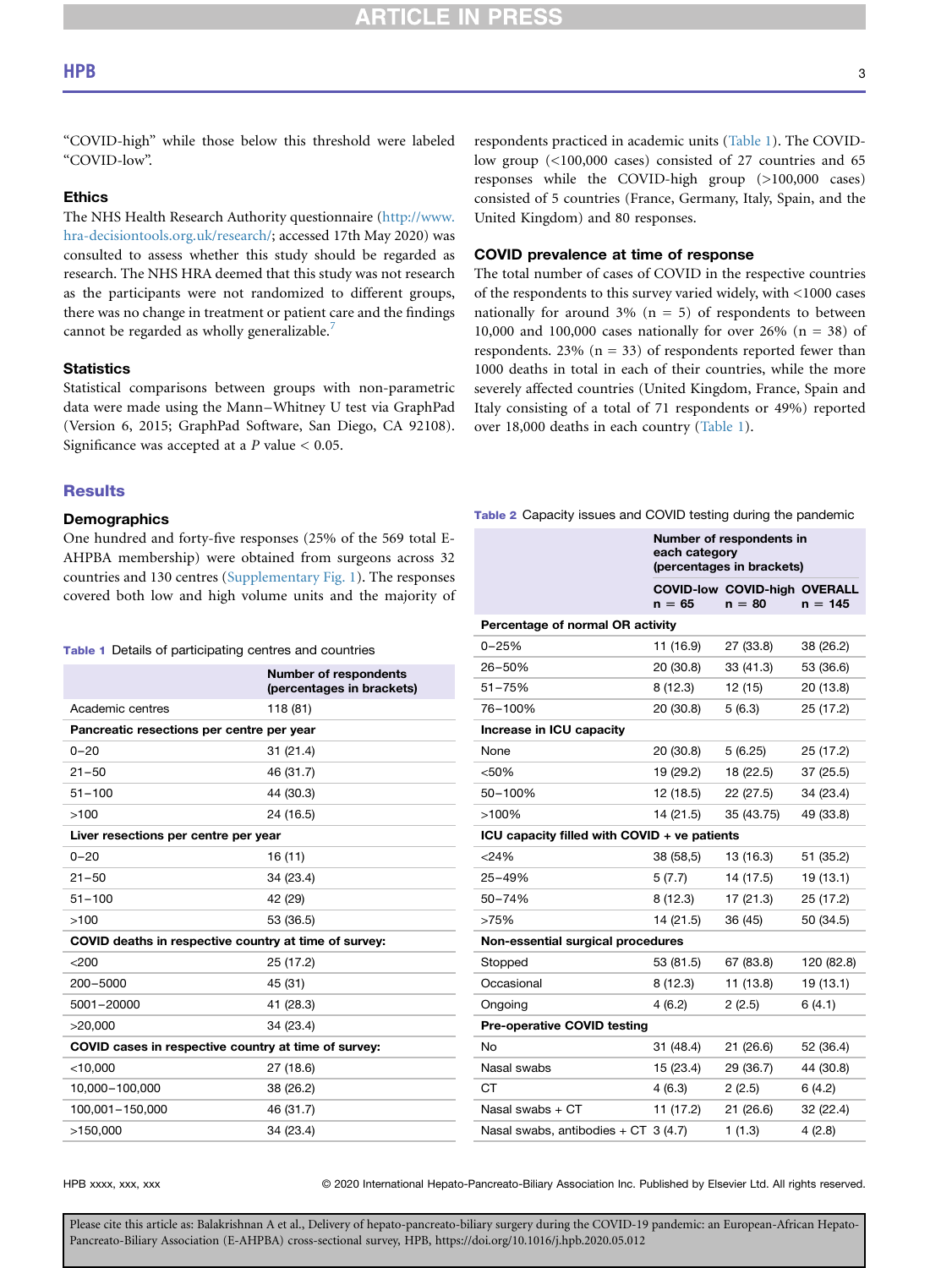## **CLE IN PRES**

## $HPB$  3

"COVID-high" while those below this threshold were labeled "COVID-low".

### Ethics

The NHS Health Research Authority questionnaire [\(http://www.](http://www.hra-decisiontools.org.uk/research/) [hra-decisiontools.org.uk/research/](http://www.hra-decisiontools.org.uk/research/); accessed 17th May 2020) was consulted to assess whether this study should be regarded as research. The NHS HRA deemed that this study was not research as the participants were not randomized to different groups, there was no change in treatment or patient care and the findings cannot be regarded as wholly generalizable.<sup>[7](#page-6-6)</sup>

## **Statistics**

Statistical comparisons between groups with non-parametric data were made using the Mann–Whitney U test via GraphPad (Version 6, 2015; GraphPad Software, San Diego, CA 92108). Significance was accepted at a  $P$  value  $< 0.05$ .

#### **Results**

### **Demographics**

One hundred and forty-five responses (25% of the 569 total E-AHPBA membership) were obtained from surgeons across 32 countries and 130 centres (Supplementary Fig. 1). The responses covered both low and high volume units and the majority of

#### <span id="page-2-0"></span>Table 1 Details of participating centres and countries

|                                                       | <b>Number of respondents</b><br>(percentages in brackets) |  |  |  |
|-------------------------------------------------------|-----------------------------------------------------------|--|--|--|
| Academic centres                                      | 118 (81)                                                  |  |  |  |
| Pancreatic resections per centre per year             |                                                           |  |  |  |
| $0 - 20$                                              | 31 (21.4)                                                 |  |  |  |
| $21 - 50$                                             | 46 (31.7)                                                 |  |  |  |
| $51 - 100$                                            | 44 (30.3)                                                 |  |  |  |
| >100                                                  | 24 (16.5)                                                 |  |  |  |
| Liver resections per centre per year                  |                                                           |  |  |  |
| $0 - 20$                                              | 16 (11)                                                   |  |  |  |
| $21 - 50$                                             | 34 (23.4)                                                 |  |  |  |
| $51 - 100$                                            | 42 (29)                                                   |  |  |  |
| >100                                                  | 53 (36.5)                                                 |  |  |  |
| COVID deaths in respective country at time of survey: |                                                           |  |  |  |
| < 200                                                 | 25 (17.2)                                                 |  |  |  |
| 200-5000                                              | 45 (31)                                                   |  |  |  |
| 5001-20000                                            | 41 (28.3)                                                 |  |  |  |
| >20,000                                               | 34 (23.4)                                                 |  |  |  |
| COVID cases in respective country at time of survey:  |                                                           |  |  |  |
| $<$ 10,000                                            | 27 (18.6)                                                 |  |  |  |
| 10,000-100,000                                        | 38 (26.2)                                                 |  |  |  |
| 100,001-150,000                                       | 46 (31.7)                                                 |  |  |  |
| >150,000                                              | 34 (23.4)                                                 |  |  |  |

respondents practiced in academic units ([Table 1](#page-2-0)). The COVIDlow group (<100,000 cases) consisted of 27 countries and 65 responses while the COVID-high group (>100,000 cases) consisted of 5 countries (France, Germany, Italy, Spain, and the United Kingdom) and 80 responses.

### COVID prevalence at time of response

The total number of cases of COVID in the respective countries of the respondents to this survey varied widely, with <1000 cases nationally for around  $3\%$  (n = 5) of respondents to between 10,000 and 100,000 cases nationally for over 26% (n = 38) of respondents. 23% ( $n = 33$ ) of respondents reported fewer than 1000 deaths in total in each of their countries, while the more severely affected countries (United Kingdom, France, Spain and Italy consisting of a total of 71 respondents or 49%) reported over 18,000 deaths in each country [\(Table 1](#page-2-0)).

<span id="page-2-1"></span>Table 2 Capacity issues and COVID testing during the pandemic

|                                              | Number of respondents in<br>each category<br>(percentages in brackets) |                                                 |            |  |  |  |
|----------------------------------------------|------------------------------------------------------------------------|-------------------------------------------------|------------|--|--|--|
|                                              | $n = 65$                                                               | <b>COVID-low COVID-high OVERALL</b><br>$n = 80$ | $n = 145$  |  |  |  |
| Percentage of normal OR activity             |                                                                        |                                                 |            |  |  |  |
| $0 - 25%$                                    | 11 (16.9)                                                              | 27 (33.8)                                       | 38 (26.2)  |  |  |  |
| 26-50%                                       | 20 (30.8)                                                              | 33 (41.3)                                       | 53 (36.6)  |  |  |  |
| 51-75%                                       | 8(12.3)                                                                | 12 (15)                                         | 20 (13.8)  |  |  |  |
| 76-100%                                      | 20 (30.8)                                                              | 5(6.3)                                          | 25 (17.2)  |  |  |  |
| Increase in ICU capacity                     |                                                                        |                                                 |            |  |  |  |
| None                                         | 20 (30.8)                                                              | 5(6.25)                                         | 25 (17.2)  |  |  |  |
| < 50%                                        | 19 (29.2)                                                              | 18 (22.5)                                       | 37 (25.5)  |  |  |  |
| 50-100%                                      | 12(18.5)                                                               | 22 (27.5)                                       | 34 (23.4)  |  |  |  |
| >100%                                        | 14 (21.5)                                                              | 35 (43.75)                                      | 49 (33.8)  |  |  |  |
| ICU capacity filled with COVID + ve patients |                                                                        |                                                 |            |  |  |  |
| $<$ 24%                                      | 38 (58,5)                                                              | 13 (16.3)                                       | 51 (35.2)  |  |  |  |
| 25-49%                                       | 5(7.7)                                                                 | 14 (17.5)                                       | 19 (13.1)  |  |  |  |
| 50-74%                                       | 8(12.3)                                                                | 17 (21.3)                                       | 25 (17.2)  |  |  |  |
| >75%                                         | 14 (21.5)                                                              | 36 (45)                                         | 50 (34.5)  |  |  |  |
| Non-essential surgical procedures            |                                                                        |                                                 |            |  |  |  |
| Stopped                                      | 53 (81.5)                                                              | 67 (83.8)                                       | 120 (82.8) |  |  |  |
| Occasional                                   | 8(12.3)                                                                | 11 (13.8)                                       | 19 (13.1)  |  |  |  |
| Ongoing                                      | 4(6.2)                                                                 | 2(2.5)                                          | 6(4.1)     |  |  |  |
| <b>Pre-operative COVID testing</b>           |                                                                        |                                                 |            |  |  |  |
| No                                           | 31 (48.4)                                                              | 21(26.6)                                        | 52 (36.4)  |  |  |  |
| Nasal swabs                                  | 15 (23.4)                                                              | 29 (36.7)                                       | 44 (30.8)  |  |  |  |
| СT                                           | 4(6.3)                                                                 | 2(2.5)                                          | 6(4.2)     |  |  |  |
| Nasal swabs $+$ CT                           | 11 (17.2)                                                              | 21 (26.6)                                       | 32 (22.4)  |  |  |  |
| Nasal swabs, antibodies + $CT$ 3 (4.7)       |                                                                        | 1(1.3)                                          | 4(2.8)     |  |  |  |

HPB xxxx, xxx, xxx 
reserved. © 2020 International Hepato-Pancreato-Biliary Association Inc. Published by Elsevier Ltd. All rights reserved.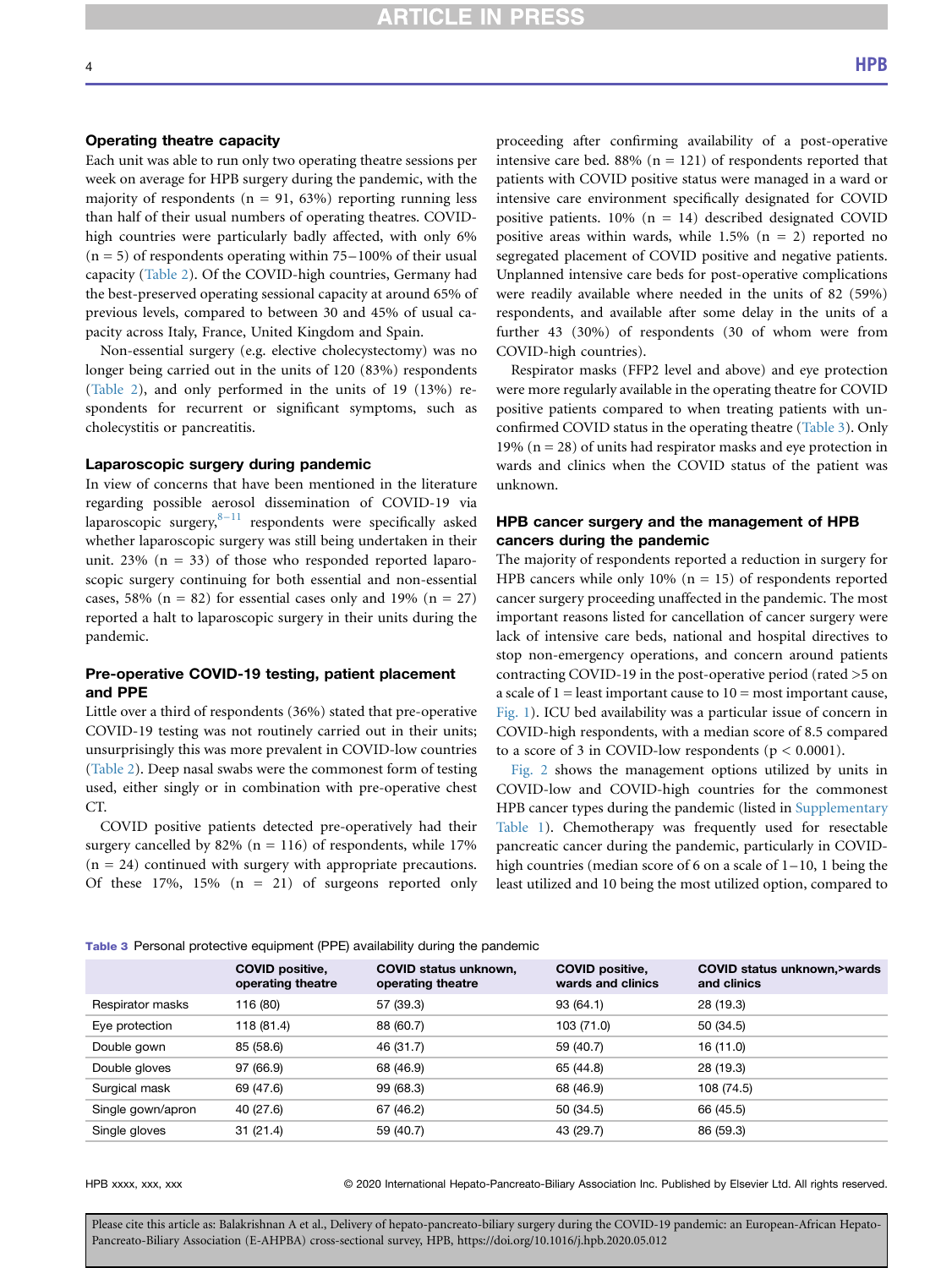## **RTICLE IN PRESS**

## Operating theatre capacity

Each unit was able to run only two operating theatre sessions per week on average for HPB surgery during the pandemic, with the majority of respondents ( $n = 91, 63\%$ ) reporting running less than half of their usual numbers of operating theatres. COVIDhigh countries were particularly badly affected, with only 6%  $(n = 5)$  of respondents operating within 75–100% of their usual capacity [\(Table 2](#page-2-1)). Of the COVID-high countries, Germany had the best-preserved operating sessional capacity at around 65% of previous levels, compared to between 30 and 45% of usual capacity across Italy, France, United Kingdom and Spain.

Non-essential surgery (e.g. elective cholecystectomy) was no longer being carried out in the units of 120 (83%) respondents ([Table 2](#page-2-1)), and only performed in the units of 19 (13%) respondents for recurrent or significant symptoms, such as cholecystitis or pancreatitis.

#### Laparoscopic surgery during pandemic

In view of concerns that have been mentioned in the literature regarding possible aerosol dissemination of COVID-19 via laparoscopic surgery, $8-11$  $8-11$  respondents were specifically asked whether laparoscopic surgery was still being undertaken in their unit. 23% ( $n = 33$ ) of those who responded reported laparoscopic surgery continuing for both essential and non-essential cases, 58% ( $n = 82$ ) for essential cases only and 19% ( $n = 27$ ) reported a halt to laparoscopic surgery in their units during the pandemic.

## Pre-operative COVID-19 testing, patient placement and PPE

Little over a third of respondents (36%) stated that pre-operative COVID-19 testing was not routinely carried out in their units; unsurprisingly this was more prevalent in COVID-low countries ([Table 2](#page-2-1)). Deep nasal swabs were the commonest form of testing used, either singly or in combination with pre-operative chest CT.

COVID positive patients detected pre-operatively had their surgery cancelled by 82% ( $n = 116$ ) of respondents, while 17%  $(n = 24)$  continued with surgery with appropriate precautions. Of these  $17\%$ ,  $15\%$  (n = 21) of surgeons reported only proceeding after confirming availability of a post-operative intensive care bed. 88% ( $n = 121$ ) of respondents reported that patients with COVID positive status were managed in a ward or intensive care environment specifically designated for COVID positive patients.  $10\%$  (n = 14) described designated COVID positive areas within wards, while  $1.5\%$  (n = 2) reported no segregated placement of COVID positive and negative patients. Unplanned intensive care beds for post-operative complications were readily available where needed in the units of 82 (59%) respondents, and available after some delay in the units of a further 43 (30%) of respondents (30 of whom were from COVID-high countries).

Respirator masks (FFP2 level and above) and eye protection were more regularly available in the operating theatre for COVID positive patients compared to when treating patients with unconfirmed COVID status in the operating theatre ([Table 3\)](#page-3-0). Only 19% ( $n = 28$ ) of units had respirator masks and eye protection in wards and clinics when the COVID status of the patient was unknown.

## HPB cancer surgery and the management of HPB cancers during the pandemic

The majority of respondents reported a reduction in surgery for HPB cancers while only 10% ( $n = 15$ ) of respondents reported cancer surgery proceeding unaffected in the pandemic. The most important reasons listed for cancellation of cancer surgery were lack of intensive care beds, national and hospital directives to stop non-emergency operations, and concern around patients contracting COVID-19 in the post-operative period (rated >5 on a scale of  $1 =$  least important cause to  $10 =$  most important cause, [Fig. 1\)](#page-4-0). ICU bed availability was a particular issue of concern in COVID-high respondents, with a median score of 8.5 compared to a score of 3 in COVID-low respondents ( $p < 0.0001$ ).

[Fig. 2](#page-5-0) shows the management options utilized by units in COVID-low and COVID-high countries for the commonest HPB cancer types during the pandemic (listed in Supplementary Table 1). Chemotherapy was frequently used for resectable pancreatic cancer during the pandemic, particularly in COVIDhigh countries (median score of 6 on a scale of 1–10, 1 being the least utilized and 10 being the most utilized option, compared to

|                   | <b>COVID positive,</b><br>operating theatre | <b>COVID status unknown,</b><br>operating theatre | <b>COVID positive,</b><br>wards and clinics | COVID status unknown, > wards<br>and clinics |
|-------------------|---------------------------------------------|---------------------------------------------------|---------------------------------------------|----------------------------------------------|
| Respirator masks  | 116 (80)                                    | 57 (39.3)                                         | 93 (64.1)                                   | 28 (19.3)                                    |
| Eye protection    | 118 (81.4)                                  | 88 (60.7)                                         | 103 (71.0)                                  | 50 (34.5)                                    |
| Double gown       | 85 (58.6)                                   | 46 (31.7)                                         | 59 (40.7)                                   | 16 (11.0)                                    |
| Double gloves     | 97 (66.9)                                   | 68 (46.9)                                         | 65 (44.8)                                   | 28 (19.3)                                    |
| Surgical mask     | 69 (47.6)                                   | 99 (68.3)                                         | 68 (46.9)                                   | 108 (74.5)                                   |
| Single gown/apron | 40 (27.6)                                   | 67 (46.2)                                         | 50 (34.5)                                   | 66 (45.5)                                    |
| Single gloves     | 31(21.4)                                    | 59 (40.7)                                         | 43 (29.7)                                   | 86 (59.3)                                    |

<span id="page-3-0"></span>Table 3 Personal protective equipment (PPE) availability during the pandemic

HPB xxxx, xxx, xxx 
reserved. 
© 2020 International Hepato-Pancreato-Biliary Association Inc. Published by Elsevier Ltd. All rights reserved.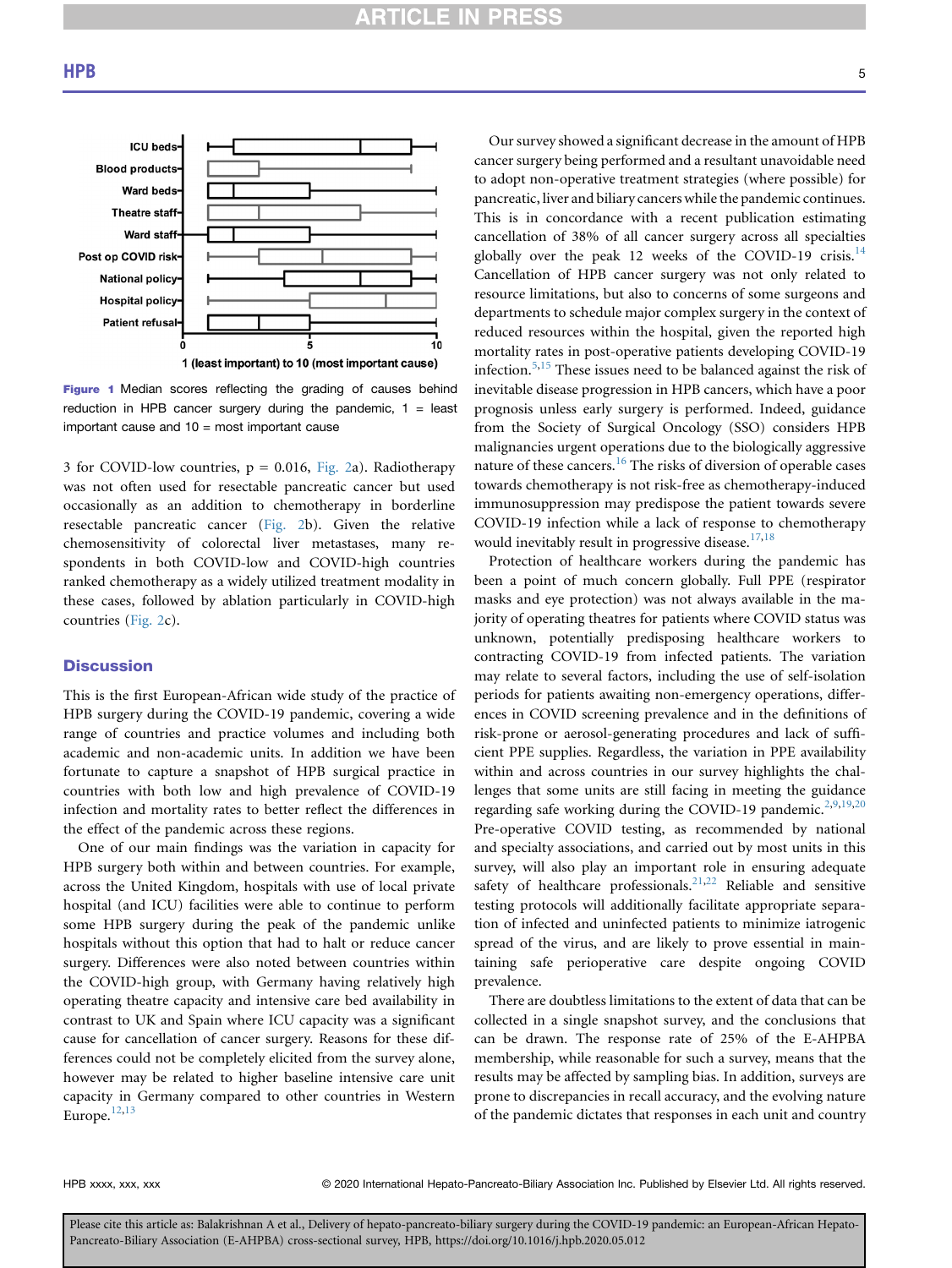<span id="page-4-0"></span>

1 (least important) to 10 (most important cause)

Figure 1 Median scores reflecting the grading of causes behind reduction in HPB cancer surgery during the pandemic,  $1 =$  least important cause and  $10 =$  most important cause

3 for COVID-low countries,  $p = 0.016$ , [Fig. 2](#page-5-0)a). Radiotherapy was not often used for resectable pancreatic cancer but used occasionally as an addition to chemotherapy in borderline resectable pancreatic cancer [\(Fig. 2b](#page-5-0)). Given the relative chemosensitivity of colorectal liver metastases, many respondents in both COVID-low and COVID-high countries ranked chemotherapy as a widely utilized treatment modality in these cases, followed by ablation particularly in COVID-high countries [\(Fig. 2c](#page-5-0)).

## **Discussion**

This is the first European-African wide study of the practice of HPB surgery during the COVID-19 pandemic, covering a wide range of countries and practice volumes and including both academic and non-academic units. In addition we have been fortunate to capture a snapshot of HPB surgical practice in countries with both low and high prevalence of COVID-19 infection and mortality rates to better reflect the differences in the effect of the pandemic across these regions.

One of our main findings was the variation in capacity for HPB surgery both within and between countries. For example, across the United Kingdom, hospitals with use of local private hospital (and ICU) facilities were able to continue to perform some HPB surgery during the peak of the pandemic unlike hospitals without this option that had to halt or reduce cancer surgery. Differences were also noted between countries within the COVID-high group, with Germany having relatively high operating theatre capacity and intensive care bed availability in contrast to UK and Spain where ICU capacity was a significant cause for cancellation of cancer surgery. Reasons for these differences could not be completely elicited from the survey alone, however may be related to higher baseline intensive care unit capacity in Germany compared to other countries in Western Europe.<sup>[12](#page-6-8),[13](#page-6-9)</sup>

Our survey showed a significant decrease in the amount of HPB cancer surgery being performed and a resultant unavoidable need to adopt non-operative treatment strategies (where possible) for pancreatic, liver and biliary cancers while the pandemic continues. This is in concordance with a recent publication estimating cancellation of 38% of all cancer surgery across all specialties globally over the peak 12 weeks of the COVID-19 crisis.<sup>[14](#page-6-10)</sup> Cancellation of HPB cancer surgery was not only related to resource limitations, but also to concerns of some surgeons and departments to schedule major complex surgery in the context of reduced resources within the hospital, given the reported high mortality rates in post-operative patients developing COVID-19 infection.<sup>[5](#page-6-4)[,15](#page-6-11)</sup> These issues need to be balanced against the risk of inevitable disease progression in HPB cancers, which have a poor prognosis unless early surgery is performed. Indeed, guidance from the Society of Surgical Oncology (SSO) considers HPB malignancies urgent operations due to the biologically aggressive nature of these cancers.<sup>16</sup> The risks of diversion of operable cases towards chemotherapy is not risk-free as chemotherapy-induced immunosuppression may predispose the patient towards severe COVID-19 infection while a lack of response to chemotherapy would inevitably result in progressive disease.<sup>17,[18](#page-6-14)</sup>

Protection of healthcare workers during the pandemic has been a point of much concern globally. Full PPE (respirator masks and eye protection) was not always available in the majority of operating theatres for patients where COVID status was unknown, potentially predisposing healthcare workers to contracting COVID-19 from infected patients. The variation may relate to several factors, including the use of self-isolation periods for patients awaiting non-emergency operations, differences in COVID screening prevalence and in the definitions of risk-prone or aerosol-generating procedures and lack of sufficient PPE supplies. Regardless, the variation in PPE availability within and across countries in our survey highlights the challenges that some units are still facing in meeting the guidance regarding safe working during the COVID-19 pandemic.<sup>[2](#page-6-1)[,9,](#page-6-15)[19](#page-6-16),[20](#page-6-17)</sup> Pre-operative COVID testing, as recommended by national and specialty associations, and carried out by most units in this survey, will also play an important role in ensuring adequate safety of healthcare professionals.<sup>21,[22](#page-6-19)</sup> Reliable and sensitive testing protocols will additionally facilitate appropriate separation of infected and uninfected patients to minimize iatrogenic spread of the virus, and are likely to prove essential in maintaining safe perioperative care despite ongoing COVID prevalence.

There are doubtless limitations to the extent of data that can be collected in a single snapshot survey, and the conclusions that can be drawn. The response rate of 25% of the E-AHPBA membership, while reasonable for such a survey, means that the results may be affected by sampling bias. In addition, surveys are prone to discrepancies in recall accuracy, and the evolving nature of the pandemic dictates that responses in each unit and country

HPB xxxx, xxx, xxx 
reserved. © 2020 International Hepato-Pancreato-Biliary Association Inc. Published by Elsevier Ltd. All rights reserved.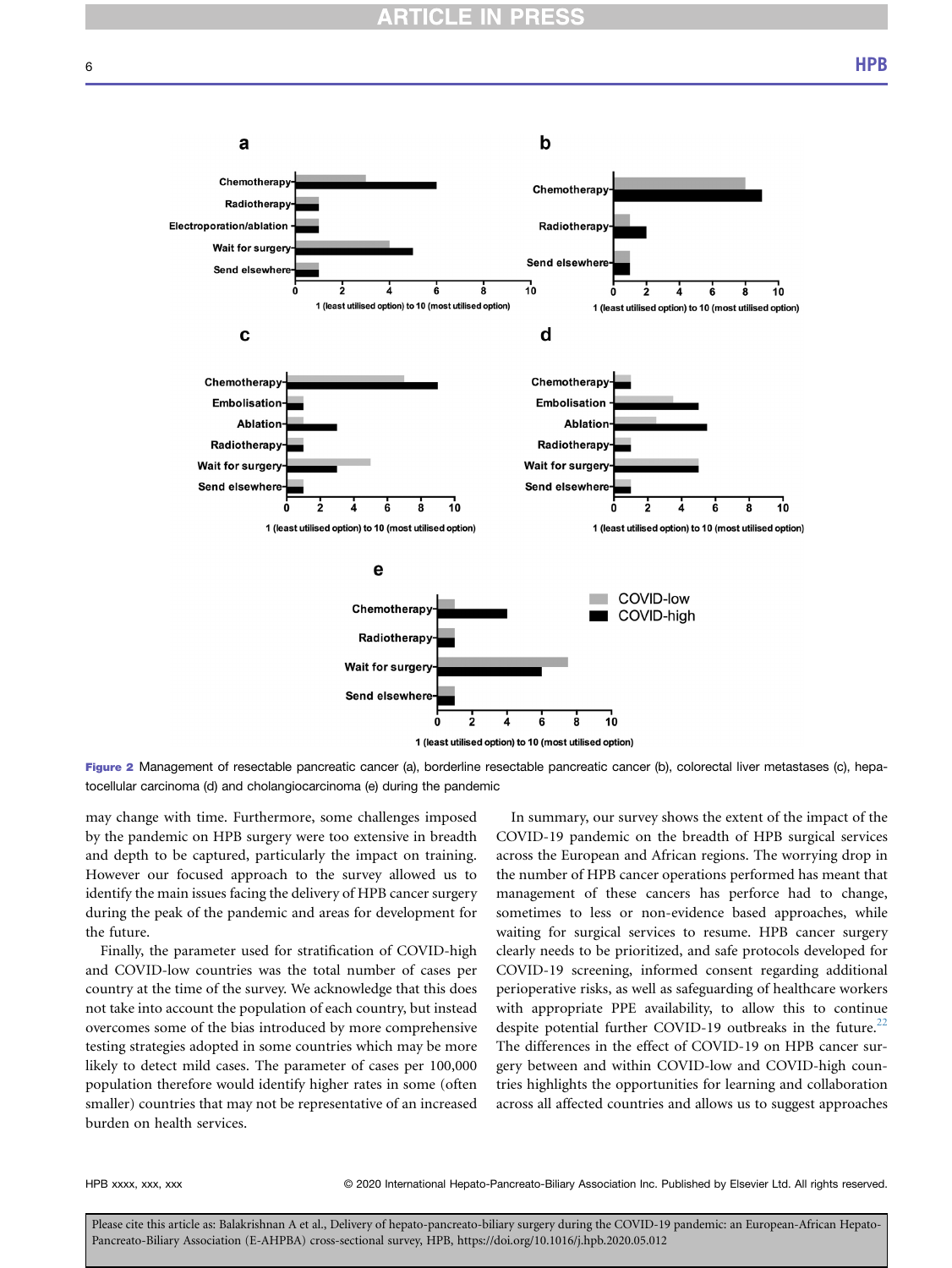<span id="page-5-0"></span>

Figure 2 Management of resectable pancreatic cancer (a), borderline resectable pancreatic cancer (b), colorectal liver metastases (c), hepatocellular carcinoma (d) and cholangiocarcinoma (e) during the pandemic

may change with time. Furthermore, some challenges imposed by the pandemic on HPB surgery were too extensive in breadth and depth to be captured, particularly the impact on training. However our focused approach to the survey allowed us to identify the main issues facing the delivery of HPB cancer surgery during the peak of the pandemic and areas for development for the future.

Finally, the parameter used for stratification of COVID-high and COVID-low countries was the total number of cases per country at the time of the survey. We acknowledge that this does not take into account the population of each country, but instead overcomes some of the bias introduced by more comprehensive testing strategies adopted in some countries which may be more likely to detect mild cases. The parameter of cases per 100,000 population therefore would identify higher rates in some (often smaller) countries that may not be representative of an increased burden on health services.

In summary, our survey shows the extent of the impact of the COVID-19 pandemic on the breadth of HPB surgical services across the European and African regions. The worrying drop in the number of HPB cancer operations performed has meant that management of these cancers has perforce had to change, sometimes to less or non-evidence based approaches, while waiting for surgical services to resume. HPB cancer surgery clearly needs to be prioritized, and safe protocols developed for COVID-19 screening, informed consent regarding additional perioperative risks, as well as safeguarding of healthcare workers with appropriate PPE availability, to allow this to continue despite potential further COVID-19 outbreaks in the future. $^{22}$  $^{22}$  $^{22}$ The differences in the effect of COVID-19 on HPB cancer surgery between and within COVID-low and COVID-high countries highlights the opportunities for learning and collaboration across all affected countries and allows us to suggest approaches

HPB xxxx, xxx, xxx 
reserved. © 2020 International Hepato-Pancreato-Biliary Association Inc. Published by Elsevier Ltd. All rights reserved.